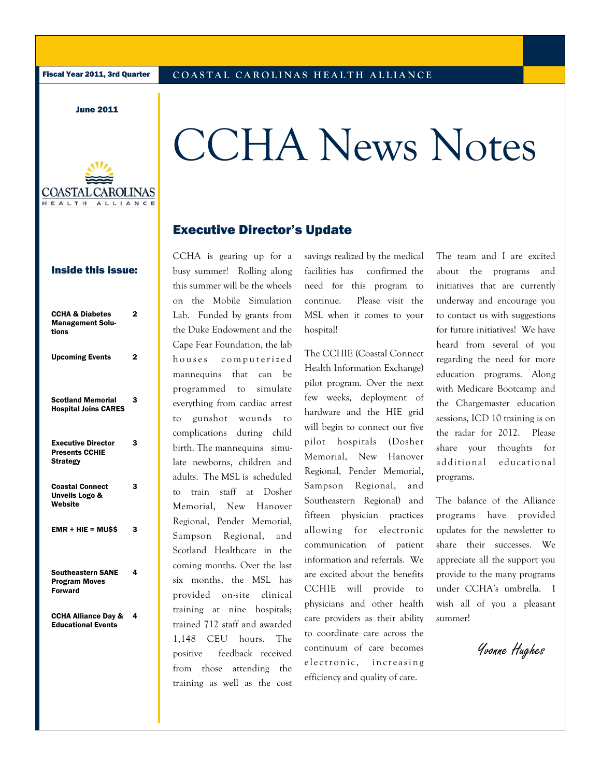June 2011



# CCHA News Notes

## Executive Director's Update

## Inside this issue:

| <b>CCHA &amp; Diabetes</b><br><b>Management Solu-</b><br>tions        | 2              |
|-----------------------------------------------------------------------|----------------|
| <b>Upcoming Events</b>                                                | $\overline{2}$ |
| <b>Scotland Memorial</b><br><b>Hospital Joins CARES</b>               | 3              |
| <b>Executive Director</b><br><b>Presents CCHIE</b><br><b>Strategy</b> | 3              |
| <b>Coastal Connect</b><br>Unveils Logo &<br>Website                   | 3              |
| $EMR + HIE = MUSS$                                                    | 3              |
| <b>Southeastern SANE</b><br><b>Program Moves</b><br><b>Forward</b>    | 4              |
| <b>CCHA Alliance Day &amp;</b><br><b>Educational Events</b>           | 4              |
|                                                                       |                |

CCHA is gearing up for a busy summer! Rolling along this summer will be the wheels on the Mobile Simulation Lab. Funded by grants from the Duke Endowment and the Cape Fear Foundation, the lab houses computerized mannequins that can be programmed to simulate everything from cardiac arrest to gunshot wounds to complications during child birth. The mannequins simulate newborns, children and adults. The MSL is scheduled to train staff at Dosher Memorial, New Hanover Regional, Pender Memorial, Sampson Regional, and Scotland Healthcare in the coming months. Over the last six months, the MSL has provided on-site clinical training at nine hospitals; trained 712 staff and awarded 1,148 CEU hours. The positive feedback received from those attending the training as well as the cost

savings realized by the medical facilities has confirmed the need for this program to continue. Please visit the MSL when it comes to your hospital!

The CCHIE (Coastal Connect Health Information Exchange) pilot program. Over the next few weeks, deployment of hardware and the HIE grid will begin to connect our five pilot hospitals (Dosher Memorial, New Hanover Regional, Pender Memorial, Sampson Regional, and Southeastern Regional) and fifteen physician practices allowing for electronic communication of patient information and referrals. We are excited about the benefits CCHIE will provide to physicians and other health care providers as their ability to coordinate care across the continuum of care becomes e lectronic, increasing efficiency and quality of care.

The team and I are excited about the programs and initiatives that are currently underway and encourage you to contact us with suggestions for future initiatives! We have heard from several of you regarding the need for more education programs. Along with Medicare Bootcamp and the Chargemaster education sessions, ICD 10 training is on the radar for 2012. Please share your thoughts for additional educational programs.

The balance of the Alliance programs have provided updates for the newsletter to share their successes. We appreciate all the support you provide to the many programs under CCHA's umbrella. I wish all of you a pleasant summer!

Yvonne Hughes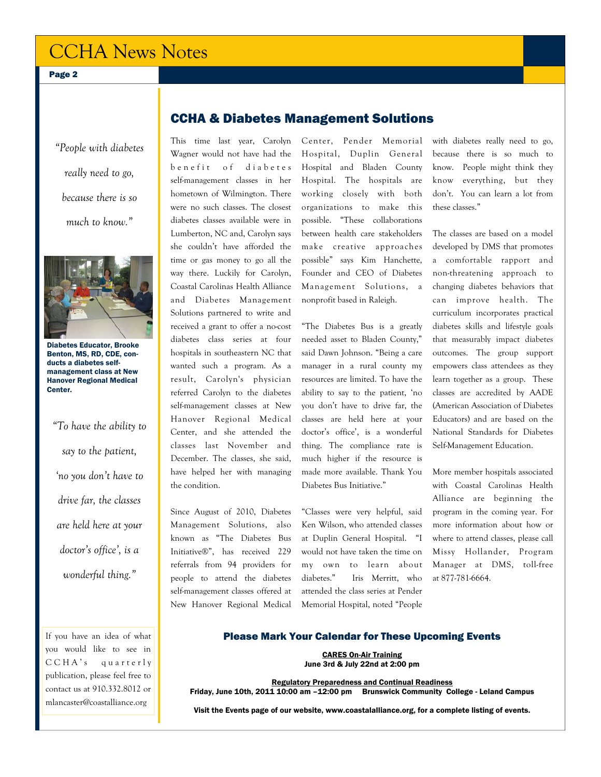# CCHA News Notes

Page 2

*"People with diabetes really need to go, because there is so much to know."* 



Diabetes Educator, Brooke Benton, MS, RD, CDE, conducts a diabetes selfmanagement class at New Hanover Regional Medical Center.

*"To have the ability to say to the patient, 'no you don't have to drive far, the classes are held here at your doctor's office', is a wonderful thing."* 

If you have an idea of what you would like to see in C C H A's quarterly publication, please feel free to contact us at 910.332.8012 or mlancaster@coastalliance.org

# CCHA & Diabetes Management Solutions

This time last year, Carolyn Wagner would not have had the benefit of diabetes self-management classes in her hometown of Wilmington. There were no such classes. The closest diabetes classes available were in Lumberton, NC and, Carolyn says she couldn't have afforded the time or gas money to go all the way there. Luckily for Carolyn, Coastal Carolinas Health Alliance and Diabetes Management Solutions partnered to write and received a grant to offer a no-cost diabetes class series at four hospitals in southeastern NC that wanted such a program. As a result, Carolyn's physician referred Carolyn to the diabetes self-management classes at New Hanover Regional Medical Center, and she attended the classes last November and December. The classes, she said, have helped her with managing the condition.

Since August of 2010, Diabetes Management Solutions, also known as "The Diabetes Bus Initiative®", has received 229 referrals from 94 providers for people to attend the diabetes self-management classes offered at New Hanover Regional Medical Center, Pender Memorial Hospital, Duplin General Hospital and Bladen County Hospital. The hospitals are working closely with both organizations to make this possible. "These collaborations between health care stakeholders make creative approaches possible" says Kim Hanchette, Founder and CEO of Diabetes Management Solutions, a nonprofit based in Raleigh.

"The Diabetes Bus is a greatly needed asset to Bladen County," said Dawn Johnson. "Being a care manager in a rural county my resources are limited. To have the ability to say to the patient, 'no you don't have to drive far, the classes are held here at your doctor's office', is a wonderful thing. The compliance rate is much higher if the resource is made more available. Thank You Diabetes Bus Initiative."

"Classes were very helpful, said Ken Wilson, who attended classes at Duplin General Hospital. "I would not have taken the time on my own to learn about diabetes." Iris Merritt, who attended the class series at Pender Memorial Hospital, noted "People

with diabetes really need to go, because there is so much to know. People might think they know everything, but they don't. You can learn a lot from these classes."

The classes are based on a model developed by DMS that promotes a comfortable rapport and non-threatening approach to changing diabetes behaviors that can improve health. The curriculum incorporates practical diabetes skills and lifestyle goals that measurably impact diabetes outcomes. The group support empowers class attendees as they learn together as a group. These classes are accredited by AADE (American Association of Diabetes Educators) and are based on the National Standards for Diabetes Self-Management Education.

More member hospitals associated with Coastal Carolinas Health Alliance are beginning the program in the coming year. For more information about how or where to attend classes, please call Missy Hollander, Program Manager at DMS, toll-free at 877-781-6664.

#### Please Mark Your Calendar for These Upcoming Events

CARES On-Air Training June 3rd & July 22nd at 2:00 pm

Regulatory Preparedness and Continual Readiness Friday, June 10th, 2011 10:00 am –12:00 pm Brunswick Community College - Leland Campus

Visit the Events page of our website, www.coastalalliance.org, for a complete listing of events.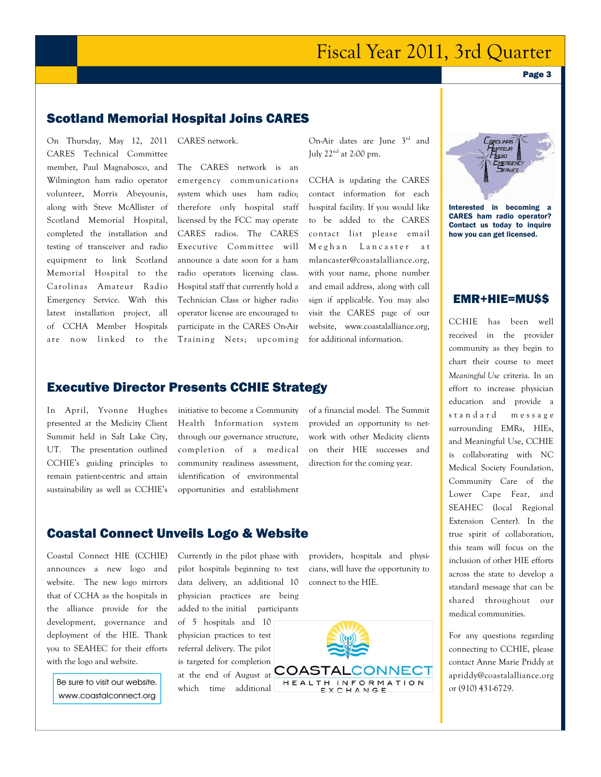# Fiscal Year 2011, 3rd Quarter

## Scotland Memorial Hospital Joins CARES

On Thursday, May 12, 2011 CARES Technical Committee member, Paul Magnabosco, and Wilmington ham radio operator volunteer, Morris Abeyounis, along with Steve McAllister of Scotland Memorial Hospital, completed the installation and testing of transceiver and radio equipment to link Scotland Memorial Hospital to the Carolinas Amateur Radio Emergency Service. With this latest installation project, all of CCHA Member Hospitals are now linked to the

CARES network.

The CARES network is an emergency communications system which uses ham radio; therefore only hospital staff licensed by the FCC may operate CARES radios. The CARES Executive Committee will announce a date soon for a ham radio operators licensing class. Hospital staff that currently hold a Technician Class or higher radio operator license are encouraged to participate in the CARES On-Air Training Nets; upcoming

On-Air dates are June 3rd and July 22nd at 2:00 pm.

CCHA is updating the CARES contact information for each hospital facility. If you would like to be added to the CARES contact list please email Meghan Lancaster at mlancaster@coastalalliance.org, with your name, phone number and email address, along with call sign if applicable. You may also visit the CARES page of our website, www.coastalalliance.org, for additional information.

#### Executive Director Presents CCHIE Strategy

In April, Yvonne Hughes presented at the Medicity Client Summit held in Salt Lake City, UT. The presentation outlined CCHIE's guiding principles to remain patient-centric and attain sustainability as well as CCHIE's initiative to become a Community Health Information system through our governance structure, completion of a medical community readiness assessment, identification of environmental opportunities and establishment

of a financial model. The Summit provided an opportunity to network with other Medicity clients on their HIE successes and direction for the coming year.

# Coastal Connect Unveils Logo & Website

Coastal Connect HIE (CCHIE) announces a new logo and website. The new logo mirrors that of CCHA as the hospitals in the alliance provide for the development, governance and deployment of the HIE. Thank you to SEAHEC for their efforts with the logo and website.

Be sure to visit our website. www.coastalconnect.org Currently in the pilot phase with pilot hospitals beginning to test data delivery, an additional 10 physician practices are being added to the initial participants of 5 hospitals and 10 physician practices to test

referral delivery. The pilot is targeted for completion which time additional

providers, hospitals and physicians, will have the opportunity to connect to the HIE.





Interested in becoming a CARES ham radio operator? Contact us today to inquire how you can get licensed.

### EMR+HIE=MU\$\$

CCHIE has been well received in the provider community as they begin to chart their course to meet *Meaningful Use* criteria. In an effort to increase physician education and provide a standard message surrounding EMRs, HIEs, and Meaningful Use, CCHIE is collaborating with NC Medical Society Foundation, Community Care of the Lower Cape Fear, and SEAHEC (local Regional Extension Center). In the true spirit of collaboration, this team will focus on the inclusion of other HIE efforts across the state to develop a standard message that can be shared throughout our medical communities.

For any questions regarding connecting to CCHIE, please contact Anne Marie Priddy at apriddy@coastalalliance.org or (910) 431-6729.

Page 3